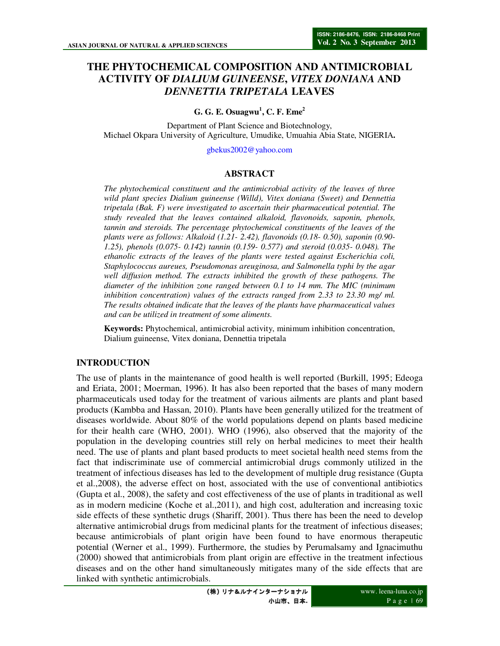# **THE PHYTOCHEMICAL COMPOSITION AND ANTIMICROBIAL ACTIVITY OF** *DIALIUM GUINEENSE***,** *VITEX DONIANA* **AND**  *DENNETTIA TRIPETALA* **LEAVES**

**G. G. E. Osuagwu<sup>1</sup> , C. F. Eme<sup>2</sup>**

Department of Plant Science and Biotechnology, Michael Okpara University of Agriculture, Umudike, Umuahia Abia State, NIGERIA**.** 

gbekus2002@yahoo.com

# **ABSTRACT**

*The phytochemical constituent and the antimicrobial activity of the leaves of three wild plant species Dialium guineense (Willd), Vitex doniana (Sweet) and Dennettia tripetala (Bak. F) were investigated to ascertain their pharmaceutical potential. The study revealed that the leaves contained alkaloid, flavonoids, saponin, phenols, tannin and steroids. The percentage phytochemical constituents of the leaves of the plants were as follows: Alkaloid (1.21- 2.42), flavonoids (0.18- 0.50), saponin (0.90- 1.25), phenols (0.075- 0.142) tannin (0.159- 0.577) and steroid (0.035- 0.048). The ethanolic extracts of the leaves of the plants were tested against Escherichia coli, Staphylococcus aureues, Pseudomonas areuginosa, and Salmonella typhi by the agar well diffusion method. The extracts inhibited the growth of these pathogens. The diameter of the inhibition zone ranged between 0.1 to 14 mm. The MIC (minimum inhibition concentration) values of the extracts ranged from 2.33 to 23.30 mg/ ml. The results obtained indicate that the leaves of the plants have pharmaceutical values and can be utilized in treatment of some aliments.* 

**Keywords:** Phytochemical, antimicrobial activity, minimum inhibition concentration, Dialium guineense, Vitex doniana, Dennettia tripetala

# **INTRODUCTION**

The use of plants in the maintenance of good health is well reported (Burkill, 1995; Edeoga and Eriata, 2001; Moerman, 1996). It has also been reported that the bases of many modern pharmaceuticals used today for the treatment of various ailments are plants and plant based products (Kambba and Hassan, 2010). Plants have been generally utilized for the treatment of diseases worldwide. About 80% of the world populations depend on plants based medicine for their health care (WHO, 2001). WHO (1996), also observed that the majority of the population in the developing countries still rely on herbal medicines to meet their health need. The use of plants and plant based products to meet societal health need stems from the fact that indiscriminate use of commercial antimicrobial drugs commonly utilized in the treatment of infectious diseases has led to the development of multiple drug resistance (Gupta et al.,2008), the adverse effect on host, associated with the use of conventional antibiotics (Gupta et al., 2008), the safety and cost effectiveness of the use of plants in traditional as well as in modern medicine (Koche et al.,2011), and high cost, adulteration and increasing toxic side effects of these synthetic drugs (Shariff, 2001). Thus there has been the need to develop alternative antimicrobial drugs from medicinal plants for the treatment of infectious diseases; because antimicrobials of plant origin have been found to have enormous therapeutic potential (Werner et al., 1999). Furthermore, the studies by Perumalsamy and Ignacimuthu (2000) showed that antimicrobials from plant origin are effective in the treatment infectious diseases and on the other hand simultaneously mitigates many of the side effects that are linked with synthetic antimicrobials.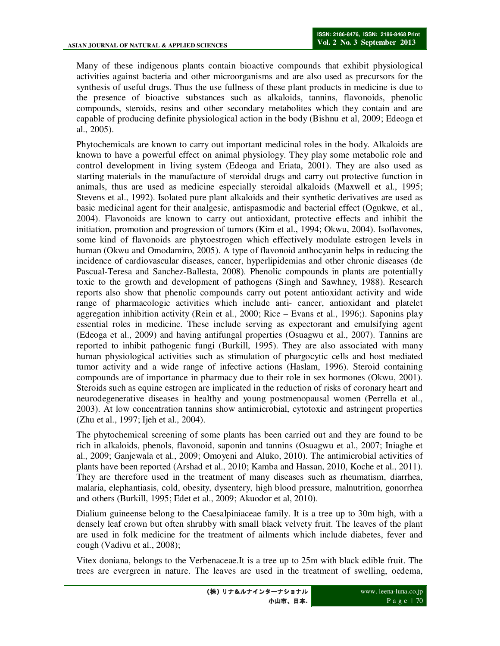Many of these indigenous plants contain bioactive compounds that exhibit physiological activities against bacteria and other microorganisms and are also used as precursors for the synthesis of useful drugs. Thus the use fullness of these plant products in medicine is due to the presence of bioactive substances such as alkaloids, tannins, flavonoids, phenolic compounds, steroids, resins and other secondary metabolites which they contain and are capable of producing definite physiological action in the body (Bishnu et al, 2009; Edeoga et al., 2005).

Phytochemicals are known to carry out important medicinal roles in the body. Alkaloids are known to have a powerful effect on animal physiology. They play some metabolic role and control development in living system (Edeoga and Eriata, 2001). They are also used as starting materials in the manufacture of steroidal drugs and carry out protective function in animals, thus are used as medicine especially steroidal alkaloids (Maxwell et al., 1995; Stevens et al., 1992). Isolated pure plant alkaloids and their synthetic derivatives are used as basic medicinal agent for their analgesic, antispasmodic and bacterial effect (Ogukwe, et al., 2004). Flavonoids are known to carry out antioxidant, protective effects and inhibit the initiation, promotion and progression of tumors (Kim et al., 1994; Okwu, 2004). Isoflavones, some kind of flavonoids are phytoestrogen which effectively modulate estrogen levels in human (Okwu and Omodamiro, 2005). A type of flavonoid anthocyanin helps in reducing the incidence of cardiovascular diseases, cancer, hyperlipidemias and other chronic diseases (de Pascual-Teresa and Sanchez-Ballesta, 2008). Phenolic compounds in plants are potentially toxic to the growth and development of pathogens (Singh and Sawhney, 1988). Research reports also show that phenolic compounds carry out potent antioxidant activity and wide range of pharmacologic activities which include anti- cancer, antioxidant and platelet aggregation inhibition activity (Rein et al., 2000; Rice – Evans et al., 1996;). Saponins play essential roles in medicine. These include serving as expectorant and emulsifying agent (Edeoga et al., 2009) and having antifungal properties (Osuagwu et al., 2007). Tannins are reported to inhibit pathogenic fungi (Burkill, 1995). They are also associated with many human physiological activities such as stimulation of phargocytic cells and host mediated tumor activity and a wide range of infective actions (Haslam, 1996). Steroid containing compounds are of importance in pharmacy due to their role in sex hormones (Okwu, 2001). Steroids such as equine estrogen are implicated in the reduction of risks of coronary heart and neurodegenerative diseases in healthy and young postmenopausal women (Perrella et al., 2003). At low concentration tannins show antimicrobial, cytotoxic and astringent properties (Zhu et al., 1997; Ijeh et al., 2004).

The phytochemical screening of some plants has been carried out and they are found to be rich in alkaloids, phenols, flavonoid, saponin and tannins (Osuagwu et al., 2007; Iniaghe et al., 2009; Ganjewala et al., 2009; Omoyeni and Aluko, 2010). The antimicrobial activities of plants have been reported (Arshad et al., 2010; Kamba and Hassan, 2010, Koche et al., 2011). They are therefore used in the treatment of many diseases such as rheumatism, diarrhea, malaria, elephantiasis, cold, obesity, dysentery, high blood pressure, malnutrition, gonorrhea and others (Burkill, 1995; Edet et al., 2009; Akuodor et al, 2010).

Dialium guineense belong to the Caesalpiniaceae family. It is a tree up to 30m high, with a densely leaf crown but often shrubby with small black velvety fruit. The leaves of the plant are used in folk medicine for the treatment of ailments which include diabetes, fever and cough (Vadivu et al., 2008);

Vitex doniana, belongs to the Verbenaceae.It is a tree up to 25m with black edible fruit. The trees are evergreen in nature. The leaves are used in the treatment of swelling, oedema,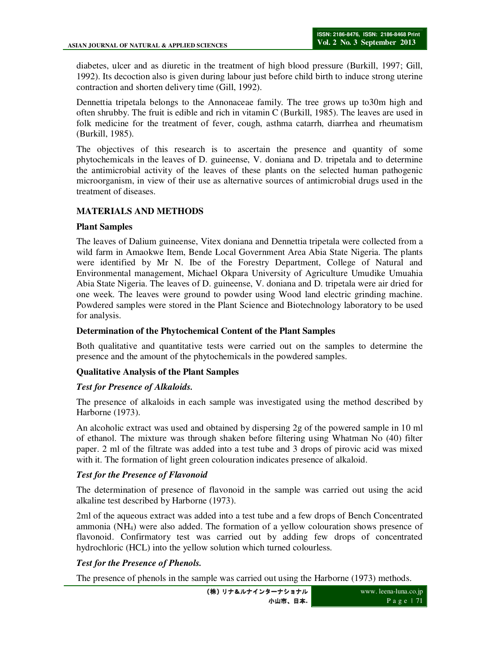diabetes, ulcer and as diuretic in the treatment of high blood pressure (Burkill, 1997; Gill, 1992). Its decoction also is given during labour just before child birth to induce strong uterine contraction and shorten delivery time (Gill, 1992).

Dennettia tripetala belongs to the Annonaceae family. The tree grows up to30m high and often shrubby. The fruit is edible and rich in vitamin C (Burkill, 1985). The leaves are used in folk medicine for the treatment of fever, cough, asthma catarrh, diarrhea and rheumatism (Burkill, 1985).

The objectives of this research is to ascertain the presence and quantity of some phytochemicals in the leaves of D. guineense, V. doniana and D. tripetala and to determine the antimicrobial activity of the leaves of these plants on the selected human pathogenic microorganism, in view of their use as alternative sources of antimicrobial drugs used in the treatment of diseases.

# **MATERIALS AND METHODS**

#### **Plant Samples**

The leaves of Dalium guineense, Vitex doniana and Dennettia tripetala were collected from a wild farm in Amaokwe Item, Bende Local Government Area Abia State Nigeria. The plants were identified by Mr N. Ibe of the Forestry Department, College of Natural and Environmental management, Michael Okpara University of Agriculture Umudike Umuahia Abia State Nigeria. The leaves of D. guineense, V. doniana and D. tripetala were air dried for one week. The leaves were ground to powder using Wood land electric grinding machine. Powdered samples were stored in the Plant Science and Biotechnology laboratory to be used for analysis.

#### **Determination of the Phytochemical Content of the Plant Samples**

Both qualitative and quantitative tests were carried out on the samples to determine the presence and the amount of the phytochemicals in the powdered samples.

### **Qualitative Analysis of the Plant Samples**

### *Test for Presence of Alkaloids.*

The presence of alkaloids in each sample was investigated using the method described by Harborne (1973).

An alcoholic extract was used and obtained by dispersing 2g of the powered sample in 10 ml of ethanol. The mixture was through shaken before filtering using Whatman No (40) filter paper. 2 ml of the filtrate was added into a test tube and 3 drops of pirovic acid was mixed with it. The formation of light green colouration indicates presence of alkaloid.

### *Test for the Presence of Flavonoid*

The determination of presence of flavonoid in the sample was carried out using the acid alkaline test described by Harborne (1973).

2ml of the aqueous extract was added into a test tube and a few drops of Bench Concentrated ammonia (NH4) were also added. The formation of a yellow colouration shows presence of flavonoid. Confirmatory test was carried out by adding few drops of concentrated hydrochloric (HCL) into the yellow solution which turned colourless.

### *Test for the Presence of Phenols.*

The presence of phenols in the sample was carried out using the Harborne (1973) methods.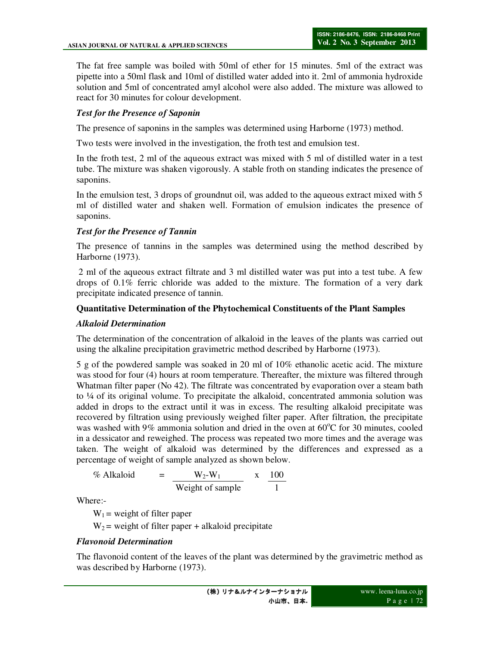The fat free sample was boiled with 50ml of ether for 15 minutes. 5ml of the extract was pipette into a 50ml flask and 10ml of distilled water added into it. 2ml of ammonia hydroxide solution and 5ml of concentrated amyl alcohol were also added. The mixture was allowed to react for 30 minutes for colour development.

# *Test for the Presence of Saponin*

The presence of saponins in the samples was determined using Harborne (1973) method.

Two tests were involved in the investigation, the froth test and emulsion test.

In the froth test, 2 ml of the aqueous extract was mixed with 5 ml of distilled water in a test tube. The mixture was shaken vigorously. A stable froth on standing indicates the presence of saponins.

In the emulsion test, 3 drops of groundnut oil, was added to the aqueous extract mixed with 5 ml of distilled water and shaken well. Formation of emulsion indicates the presence of saponins.

# *Test for the Presence of Tannin*

The presence of tannins in the samples was determined using the method described by Harborne (1973).

 2 ml of the aqueous extract filtrate and 3 ml distilled water was put into a test tube. A few drops of 0.1% ferric chloride was added to the mixture. The formation of a very dark precipitate indicated presence of tannin.

### **Quantitative Determination of the Phytochemical Constituents of the Plant Samples**

#### *Alkaloid Determination*

The determination of the concentration of alkaloid in the leaves of the plants was carried out using the alkaline precipitation gravimetric method described by Harborne (1973).

5 g of the powdered sample was soaked in 20 ml of 10% ethanolic acetic acid. The mixture was stood for four (4) hours at room temperature. Thereafter, the mixture was filtered through Whatman filter paper (No 42). The filtrate was concentrated by evaporation over a steam bath to ¼ of its original volume. To precipitate the alkaloid, concentrated ammonia solution was added in drops to the extract until it was in excess. The resulting alkaloid precipitate was recovered by filtration using previously weighed filter paper. After filtration, the precipitate was washed with 9% ammonia solution and dried in the oven at  $60^{\circ}$ C for 30 minutes, cooled in a dessicator and reweighed. The process was repeated two more times and the average was taken. The weight of alkaloid was determined by the differences and expressed as a percentage of weight of sample analyzed as shown below.

% Alkaloid = 
$$
\frac{W_2-W_1}{Weight of sample} \times \frac{100}{1}
$$

Where:-

 $W_1$  = weight of filter paper

 $W_2$  = weight of filter paper + alkaloid precipitate

#### *Flavonoid Determination*

The flavonoid content of the leaves of the plant was determined by the gravimetric method as was described by Harborne (1973).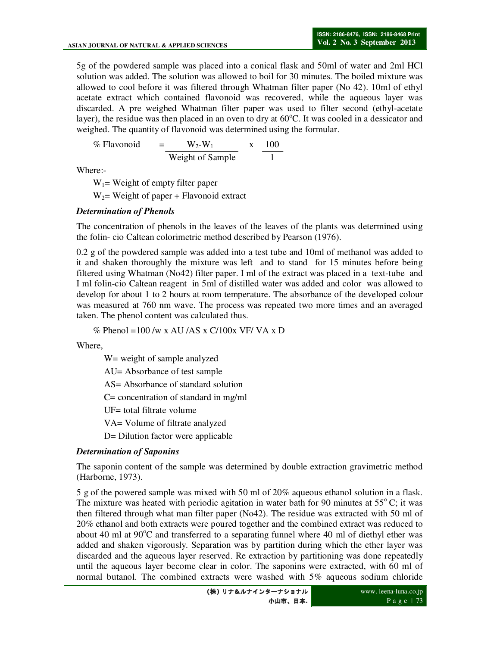5g of the powdered sample was placed into a conical flask and 50ml of water and 2ml HCl solution was added. The solution was allowed to boil for 30 minutes. The boiled mixture was allowed to cool before it was filtered through Whatman filter paper (No 42). 10ml of ethyl acetate extract which contained flavonoid was recovered, while the aqueous layer was discarded. A pre weighed Whatman filter paper was used to filter second (ethyl-acetate layer), the residue was then placed in an oven to dry at  $60^{\circ}$ C. It was cooled in a dessicator and weighed. The quantity of flavonoid was determined using the formular.

% Flavonoid =  $W_2-W_1$  x 100 Weight of Sample 1

Where:-

 $W_1$ = Weight of empty filter paper

 $W_2$ = Weight of paper + Flavonoid extract

# *Determination of Phenols*

The concentration of phenols in the leaves of the leaves of the plants was determined using the folin- cio Caltean colorimetric method described by Pearson (1976).

0.2 g of the powdered sample was added into a test tube and 10ml of methanol was added to it and shaken thoroughly the mixture was left and to stand for 15 minutes before being filtered using Whatman (No42) filter paper. I ml of the extract was placed in a text-tube and I ml folin-cio Caltean reagent in 5ml of distilled water was added and color was allowed to develop for about 1 to 2 hours at room temperature. The absorbance of the developed colour was measured at 760 nm wave. The process was repeated two more times and an averaged taken. The phenol content was calculated thus.

% Phenol =100 /w x AU /AS x C/100x VF/ VA x D

Where,

W= weight of sample analyzed AU= Absorbance of test sample AS= Absorbance of standard solution C= concentration of standard in mg/ml UF= total filtrate volume VA= Volume of filtrate analyzed D= Dilution factor were applicable

# *Determination of Saponins*

The saponin content of the sample was determined by double extraction gravimetric method (Harborne, 1973).

5 g of the powered sample was mixed with 50 ml of 20% aqueous ethanol solution in a flask. The mixture was heated with periodic agitation in water bath for 90 minutes at  $55^{\circ}$ C; it was then filtered through what man filter paper (No42). The residue was extracted with 50 ml of 20% ethanol and both extracts were poured together and the combined extract was reduced to about 40 ml at  $90^{\circ}$ C and transferred to a separating funnel where 40 ml of diethyl ether was added and shaken vigorously. Separation was by partition during which the ether layer was discarded and the aqueous layer reserved. Re extraction by partitioning was done repeatedly until the aqueous layer become clear in color. The saponins were extracted, with 60 ml of normal butanol. The combined extracts were washed with 5% aqueous sodium chloride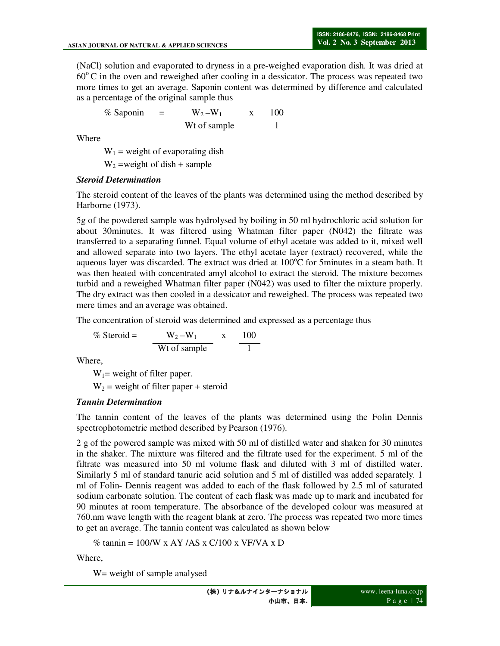(NaCl) solution and evaporated to dryness in a pre-weighed evaporation dish. It was dried at  $60^{\circ}$ C in the oven and reweighed after cooling in a dessicator. The process was repeated two more times to get an average. Saponin content was determined by difference and calculated as a percentage of the original sample thus

$$
\% \text{ Saponin} = \frac{W_2 - W_1}{Wt \text{ of sample}} \times \frac{100}{1}
$$

Where

 $W_1$  = weight of evaporating dish

 $W_2$  =weight of dish + sample

### *Steroid Determination*

The steroid content of the leaves of the plants was determined using the method described by Harborne (1973).

5g of the powdered sample was hydrolysed by boiling in 50 ml hydrochloric acid solution for about 30minutes. It was filtered using Whatman filter paper (N042) the filtrate was transferred to a separating funnel. Equal volume of ethyl acetate was added to it, mixed well and allowed separate into two layers. The ethyl acetate layer (extract) recovered, while the aqueous layer was discarded. The extract was dried at  $100^{\circ}$ C for 5minutes in a steam bath. It was then heated with concentrated amyl alcohol to extract the steroid. The mixture becomes turbid and a reweighed Whatman filter paper (N042) was used to filter the mixture properly. The dry extract was then cooled in a dessicator and reweighed. The process was repeated two mere times and an average was obtained.

The concentration of steroid was determined and expressed as a percentage thus

$$
\% \text{ Steroid} = \frac{W_2 - W_1}{\text{Wt of sample}} \times \frac{100}{1}
$$

Where,

 $W_1$  = weight of filter paper.

 $W_2$  = weight of filter paper + steroid

### *Tannin Determination*

The tannin content of the leaves of the plants was determined using the Folin Dennis spectrophotometric method described by Pearson (1976).

2 g of the powered sample was mixed with 50 ml of distilled water and shaken for 30 minutes in the shaker. The mixture was filtered and the filtrate used for the experiment. 5 ml of the filtrate was measured into 50 ml volume flask and diluted with 3 ml of distilled water. Similarly 5 ml of standard tanuric acid solution and 5 ml of distilled was added separately. 1 ml of Folin- Dennis reagent was added to each of the flask followed by 2.5 ml of saturated sodium carbonate solution. The content of each flask was made up to mark and incubated for 90 minutes at room temperature. The absorbance of the developed colour was measured at 760.nm wave length with the reagent blank at zero. The process was repeated two more times to get an average. The tannin content was calculated as shown below

% tannin =  $100/W$  x AY/AS x C/100 x VF/VA x D

Where,

W= weight of sample analysed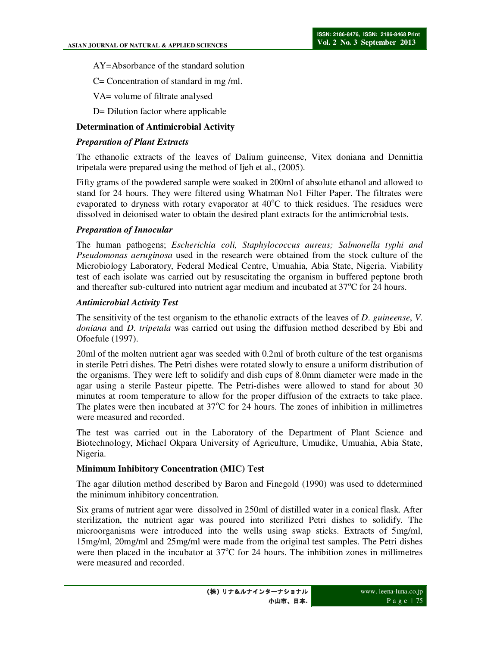AY=Absorbance of the standard solution

C= Concentration of standard in mg /ml.

VA= volume of filtrate analysed

D= Dilution factor where applicable

## **Determination of Antimicrobial Activity**

## *Preparation of Plant Extracts*

The ethanolic extracts of the leaves of Dalium guineense, Vitex doniana and Dennittia tripetala were prepared using the method of Ijeh et al., (2005).

Fifty grams of the powdered sample were soaked in 200ml of absolute ethanol and allowed to stand for 24 hours. They were filtered using Whatman No1 Filter Paper. The filtrates were evaporated to dryness with rotary evaporator at  $40^{\circ}$ C to thick residues. The residues were dissolved in deionised water to obtain the desired plant extracts for the antimicrobial tests.

### *Preparation of Innocular*

The human pathogens; *Escherichia coli, Staphylococcus aureus; Salmonella typhi and Pseudomonas aeruginosa* used in the research were obtained from the stock culture of the Microbiology Laboratory, Federal Medical Centre, Umuahia, Abia State, Nigeria. Viability test of each isolate was carried out by resuscitating the organism in buffered peptone broth and thereafter sub-cultured into nutrient agar medium and incubated at  $37^{\circ}$ C for 24 hours.

#### *Antimicrobial Activity Test*

The sensitivity of the test organism to the ethanolic extracts of the leaves of *D*. *guineense*, *V*. *doniana* and *D*. *tripetala* was carried out using the diffusion method described by Ebi and Ofoefule (1997).

20ml of the molten nutrient agar was seeded with 0.2ml of broth culture of the test organisms in sterile Petri dishes. The Petri dishes were rotated slowly to ensure a uniform distribution of the organisms. They were left to solidify and dish cups of 8.0mm diameter were made in the agar using a sterile Pasteur pipette. The Petri-dishes were allowed to stand for about 30 minutes at room temperature to allow for the proper diffusion of the extracts to take place. The plates were then incubated at  $37^{\circ}$ C for 24 hours. The zones of inhibition in millimetres were measured and recorded.

The test was carried out in the Laboratory of the Department of Plant Science and Biotechnology, Michael Okpara University of Agriculture, Umudike, Umuahia, Abia State, Nigeria.

### **Minimum Inhibitory Concentration (MIC) Test**

The agar dilution method described by Baron and Finegold (1990) was used to ddetermined the minimum inhibitory concentration.

Six grams of nutrient agar were dissolved in 250ml of distilled water in a conical flask. After sterilization, the nutrient agar was poured into sterilized Petri dishes to solidify. The microorganisms were introduced into the wells using swap sticks. Extracts of 5mg/ml, 15mg/ml, 20mg/ml and 25mg/ml were made from the original test samples. The Petri dishes were then placed in the incubator at  $37^{\circ}$ C for 24 hours. The inhibition zones in millimetres were measured and recorded.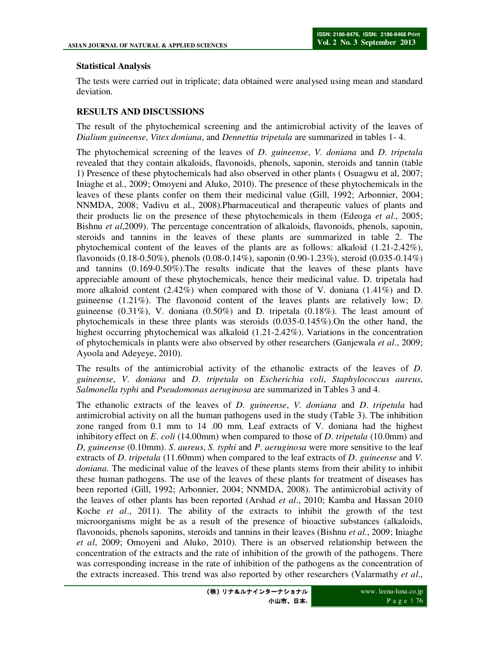# **Statistical Analysis**

The tests were carried out in triplicate; data obtained were analysed using mean and standard deviation.

# **RESULTS AND DISCUSSIONS**

The result of the phytochemical screening and the antimicrobial activity of the leaves of *Dialium guineense*, *Vitex doniana*, and *Dennettia tripetala* are summarized in tables 1- 4.

The phytochemical screening of the leaves of *D*. *guineense*, *V*. *doniana* and *D*. *tripetala* revealed that they contain alkaloids, flavonoids, phenols, saponin, steroids and tannin (table 1) Presence of these phytochemicals had also observed in other plants ( Osuagwu et al, 2007; Iniaghe et al., 2009; Omoyeni and Aluko, 2010). The presence of these phytochemicals in the leaves of these plants confer on them their medicinal value (Gill, 1992; Arbonnier, 2004; NNMDA, 2008; Vadivu et al., 2008).Pharmaceutical and therapeutic values of plants and their products lie on the presence of these phytochemicals in them (Edeoga *et al*., 2005; Bishnu *et al*,2009). The percentage concentration of alkaloids, flavonoids, phenols, saponin, steroids and tannins in the leaves of these plants are summarized in table 2. The phytochemical content of the leaves of the plants are as follows: alkaloid (1.21-2.42%), flavonoids  $(0.18-0.50\%)$ , phenols  $(0.08-0.14\%)$ , saponin  $(0.90-1.23\%)$ , steroid  $(0.035-0.14\%)$ and tannins (0.169-0.50%).The results indicate that the leaves of these plants have appreciable amount of these phytochemicals, hence their medicinal value. D. tripetala had more alkaloid content  $(2.42\%)$  when compared with those of V. doniana  $(1.41\%)$  and D. guineense (1.21%). The flavonoid content of the leaves plants are relatively low; D. guineense  $(0.31\%)$ , V. doniana  $(0.50\%)$  and D. tripetala  $(0.18\%)$ . The least amount of phytochemicals in these three plants was steroids (0.035-0.145%).On the other hand, the highest occurring phytochemical was alkaloid (1.21-2.42%). Variations in the concentration of phytochemicals in plants were also observed by other researchers (Ganjewala *et al*., 2009; Ayoola and Adeyeye, 2010).

The results of the antimicrobial activity of the ethanolic extracts of the leaves of *D*. *guineense*, *V*. *doniana* and *D*. *tripetala* on *Escherichia coli*, *Staphylococcus aureus*, *Salmonella typhi* and *Pseudomonas aeruginosa* are summarized in Tables 3 and 4.

The ethanolic extracts of the leaves of *D*. *guineense*, *V*. *doniana* and *D*. *tripetala* had antimicrobial activity on all the human pathogens used in the study (Table 3). The inhibition zone ranged from 0.1 mm to 14 .00 mm. Leaf extracts of V. doniana had the highest inhibitory effect on *E*. *coli* (14.00mm) when compared to those of *D*. *tripetala* (10.0mm) and *D*, *guineense* (0.10mm). *S*. *aureus*, *S. typhi* and *P*. *aeruginosa* were more sensitive to the leaf extracts of *D*. *tripetala* (11.60mm) when compared to the leaf extracts of *D*. *guineense* and *V*. *doniana*. The medicinal value of the leaves of these plants stems from their ability to inhibit these human pathogens. The use of the leaves of these plants for treatment of diseases has been reported (Gill, 1992; Arbonnier, 2004; NNMDA, 2008). The antimicrobial activity of the leaves of other plants has been reported (Arshad *et al*., 2010; Kamba and Hassan 2010 Koche *et al*., 2011). The ability of the extracts to inhibit the growth of the test microorganisms might be as a result of the presence of bioactive substances (alkaloids, flavonoids, phenols saponins, steroids and tannins in their leaves (Bishnu *et al*., 2009; Iniaghe *et al*, 2009; Omoyeni and Aluko, 2010). There is an observed relationship between the concentration of the extracts and the rate of inhibition of the growth of the pathogens. There was corresponding increase in the rate of inhibition of the pathogens as the concentration of the extracts increased. This trend was also reported by other researchers (Valarmathy *et al*.,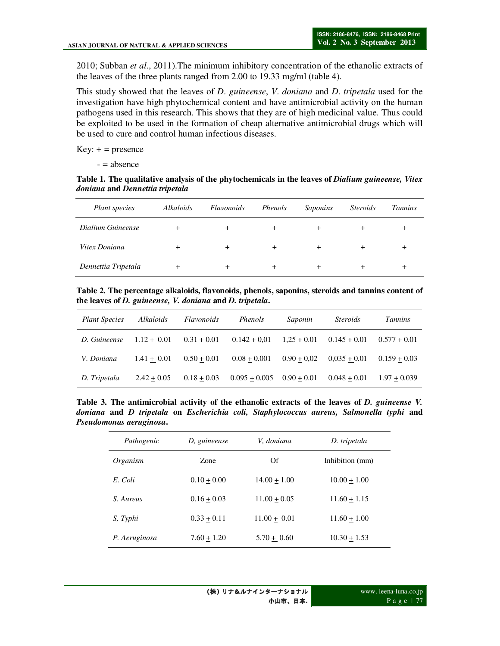2010; Subban *et al*., 2011).The minimum inhibitory concentration of the ethanolic extracts of the leaves of the three plants ranged from 2.00 to 19.33 mg/ml (table 4).

This study showed that the leaves of *D*. *guineense*, *V*. *doniana* and *D*. *tripetala* used for the investigation have high phytochemical content and have antimicrobial activity on the human pathogens used in this research. This shows that they are of high medicinal value. Thus could be exploited to be used in the formation of cheap alternative antimicrobial drugs which will be used to cure and control human infectious diseases.

 $Key: + = presence$ 

 $=$  absence

#### **Table 1. The qualitative analysis of the phytochemicals in the leaves of** *Dialium guineense, Vitex doniana* **and** *Dennettia tripetala*

| Plant species       | Alkaloids | Flavonoids | Phenols | Saponins | <i>Steroids</i> | <b>Tannins</b> |
|---------------------|-----------|------------|---------|----------|-----------------|----------------|
| Dialium Guineense   |           | +          | $\pm$   | ÷        | $\pm$           |                |
| Vitex Doniana       |           | $\pm$      | $\pm$   | $\pm$    | +               |                |
| Dennettia Tripetala |           |            | ÷       | +        |                 |                |

**Table 2. The percentage alkaloids, flavonoids, phenols, saponins, steroids and tannins content of the leaves of** *D. guineense, V. doniana* **and** *D. tripetala***.** 

| <b>Plant Species</b> | Alkaloids     | <i>Flavonoids</i> | Phenols         | Saponin       | <i>Steroids</i> | <i>Tannins</i> |
|----------------------|---------------|-------------------|-----------------|---------------|-----------------|----------------|
| D. Guineense         | $1.12 + 0.01$ | $0.31 + 0.01$     | $0.142 + 0.01$  | $1,25+0.01$   | $0.145 + 0.01$  | $0.577 + 0.01$ |
| V. Doniana           | $1.41 + 0.01$ | $0.50 + 0.01$     | $0.08 + 0.001$  | $0.90 + 0.02$ | $0.035 + 0.01$  | $0.159 + 0.03$ |
| D. Tripetala         | $2.42 + 0.05$ | $0.18 + 0.03$     | $0.095 + 0.005$ | $0.90 + 0.01$ | $0.048 + 0.01$  | $1.97 + 0.039$ |

**Table 3. The antimicrobial activity of the ethanolic extracts of the leaves of** *D. guineense V. doniana* **and** *D tripetala* **on** *Escherichia coli, Staphylococcus aureus, Salmonella typhi* **and**  *Pseudomonas aeruginosa***.** 

| Pathogenic    | D, guineense  | V, doniana     | D. tripetala    |
|---------------|---------------|----------------|-----------------|
| Organism      | <b>Zone</b>   | Of             | Inhibition (mm) |
| E. Coli       | $0.10 + 0.00$ | $14.00 + 1.00$ | $10.00 + 1.00$  |
| S. Aureus     | $0.16 + 0.03$ | $11.00 + 0.05$ | $11.60 + 1.15$  |
| S, Typhi      | $0.33 + 0.11$ | $11.00 + 0.01$ | $11.60 + 1.00$  |
| P. Aeruginosa | $7.60 + 1.20$ | $5.70 + 0.60$  | $10.30 + 1.53$  |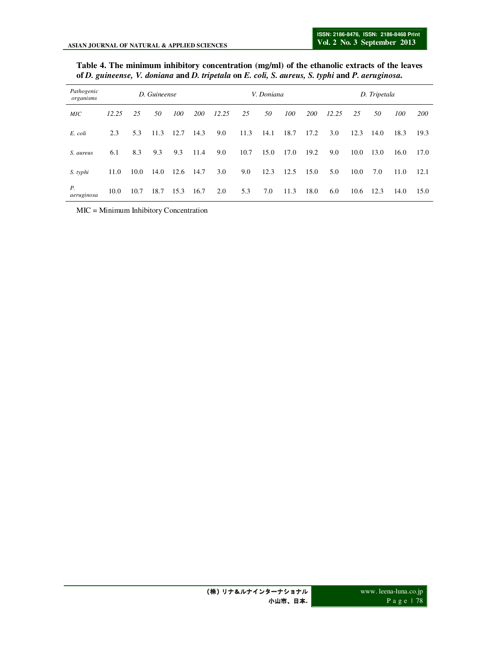| Table 4. The minimum inhibitory concentration (mg/ml) of the ethanolic extracts of the leaves   |  |
|-------------------------------------------------------------------------------------------------|--|
| of D. guineense, V. doniana and D. tripetala on E. coli, S. aureus, S. typhi and P. aeruginosa. |  |

| Pathogenic<br>organisms | D. Guineense |      |      |      | V. Doniana |       |      |      | D. Tripetala |      |       |      |      |      |            |
|-------------------------|--------------|------|------|------|------------|-------|------|------|--------------|------|-------|------|------|------|------------|
| <b>MIC</b>              | 12.25        | 25   | 50   | 100  | 200        | 12.25 | 25   | 50   | 100          | 200  | 12.25 | 25   | 50   | 100  | <b>200</b> |
| E. coli                 | 2.3          | 5.3  | 11.3 | 12.7 | 14.3       | 9.0   | 11.3 | 14.1 | 18.7         | 17.2 | 3.0   | 12.3 | 14.0 | 18.3 | 19.3       |
| S. aureus               | 6.1          | 8.3  | 9.3  | 9.3  | 11.4       | 9.0   | 10.7 | 15.0 | 17.0         | 19.2 | 9.0   | 10.0 | 13.0 | 16.0 | 17.0       |
| S. typhi                | 11.0         | 10.0 | 14.0 | 12.6 | 14.7       | 3.0   | 9.0  | 12.3 | 12.5         | 15.0 | 5.0   | 10.0 | 7.0  | 11.0 | 12.1       |
| Р.<br>aeruginosa        | 10.0         | 10.7 | 18.7 | 15.3 | 16.7       | 2.0   | 5.3  | 7.0  | 11.3         | 18.0 | 6.0   | 10.6 | 12.3 | 14.0 | 15.0       |

MIC = Minimum Inhibitory Concentration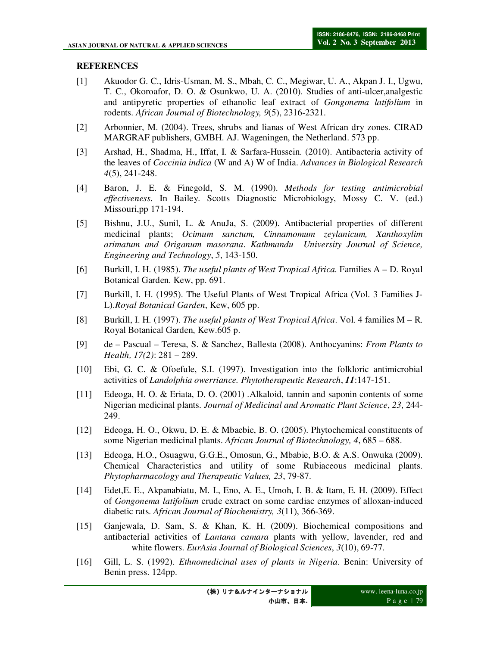# **REFERENCES**

- [1] Akuodor G. C., Idris-Usman, M. S., Mbah, C. C., Megiwar, U. A., Akpan J. I., Ugwu, T. C., Okoroafor, D. O. & Osunkwo, U. A. (2010). Studies of anti-ulcer,analgestic and antipyretic properties of ethanolic leaf extract of *Gongonema latifolium* in rodents. *African Journal of Biotechnology, 9*(5), 2316-2321.
- [2] Arbonnier, M. (2004). Trees, shrubs and lianas of West African dry zones. CIRAD MARGRAF publishers, GMBH. AJ. Wageningen, the Netherland. 573 pp.
- [3] Arshad, H., Shadma, H., Iffat, I. & Sarfara-Hussein. (2010). Antibacteria activity of the leaves of *Coccinia indica* (W and A) W of India. *Advances in Biological Research 4*(5), 241-248.
- [4] Baron, J. E. & Finegold, S. M. (1990). *Methods for testing antimicrobial effectiveness*. In Bailey. Scotts Diagnostic Microbiology, Mossy C. V. (ed.) Missouri,pp 171-194.
- [5] Bishnu, J.U., Sunil, L. & AnuJa, S. (2009). Antibacterial properties of different medicinal plants; *Ocimum sanctum, Cinnamomum zeylanicum, Xanthoxylim arimatum and Origanum masorana*. *Kathmandu University Journal of Science, Engineering and Technology*, *5*, 143-150.
- [6] Burkill, I. H. (1985). *The useful plants of West Tropical Africa.* Families A D. Royal Botanical Garden. Kew, pp. 691.
- [7] Burkill, I. H. (1995). The Useful Plants of West Tropical Africa (Vol. 3 Families J-L).*Royal Botanical Garden*, Kew, 605 pp.
- [8] Burkill, I. H. (1997). *The useful plants of West Tropical Africa*. Vol. 4 families M R. Royal Botanical Garden, Kew.605 p.
- [9] de Pascual Teresa, S. & Sanchez, Ballesta (2008). Anthocyanins: *From Plants to Health, 17(2)*: 281 – 289.
- [10] Ebi, G. C. & Ofoefule, S.I. (1997). Investigation into the folkloric antimicrobial activities of *Landolphia owerriance. Phytotherapeutic Research*, *11*:147-151.
- [11] Edeoga, H. O. & Eriata, D. O. (2001) .Alkaloid, tannin and saponin contents of some Nigerian medicinal plants. *Journal of Medicinal and Aromatic Plant Science*, *23*, 244- 249.
- [12] Edeoga, H. O., Okwu, D. E. & Mbaebie, B. O. (2005). Phytochemical constituents of some Nigerian medicinal plants. *African Journal of Biotechnology, 4*, 685 – 688.
- [13] Edeoga, H.O., Osuagwu, G.G.E., Omosun, G., Mbabie, B.O. & A.S. Onwuka (2009). Chemical Characteristics and utility of some Rubiaceous medicinal plants. *Phytopharmacology and Therapeutic Values, 23*, 79-87.
- [14] Edet,E. E., Akpanabiatu, M. I., Eno, A. E., Umoh, I. B. & Itam, E. H. (2009). Effect of *Gongonema latifolium* crude extract on some cardiac enzymes of alloxan-induced diabetic rats. *African Journal of Biochemistry, 3*(11), 366-369.
- [15] Ganjewala, D. Sam, S. & Khan, K. H. (2009). Biochemical compositions and antibacterial activities of *Lantana camara* plants with yellow, lavender, red and white flowers. *EurAsia Journal of Biological Sciences*, *3*(10), 69-77.
- [16] Gill, L. S. (1992). *Ethnomedicinal uses of plants in Nigeria*. Benin: University of Benin press. 124pp.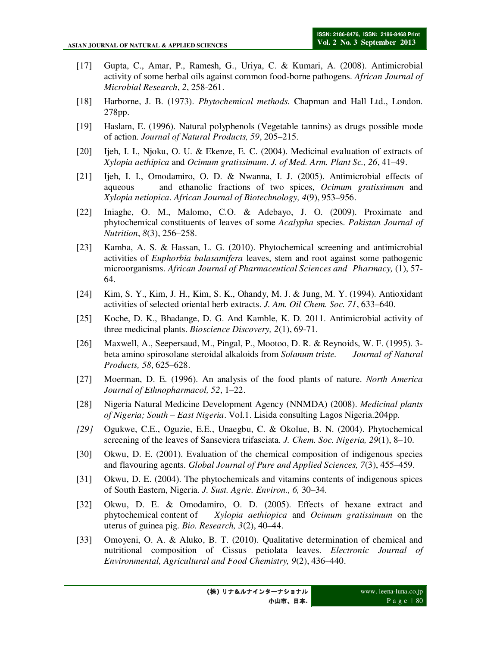- [17] Gupta, C., Amar, P., Ramesh, G., Uriya, C. & Kumari, A. (2008). Antimicrobial activity of some herbal oils against common food-borne pathogens. *African Journal of Microbial Research*, *2*, 258-261.
- [18] Harborne, J. B. (1973). *Phytochemical methods.* Chapman and Hall Ltd., London. 278pp.
- [19] Haslam, E. (1996). Natural polyphenols (Vegetable tannins) as drugs possible mode of action. *Journal of Natural Products, 59*, 205–215.
- [20] Ijeh, I. I., Njoku, O. U. & Ekenze, E. C. (2004). Medicinal evaluation of extracts of *Xylopia aethipica* and *Ocimum gratissimum*. *J. of Med. Arm. Plant Sc., 26*, 41–49.
- [21] Ijeh, I. I., Omodamiro, O. D. & Nwanna, I. J. (2005). Antimicrobial effects of aqueous and ethanolic fractions of two spices, *Ocimum gratissimum* and *Xylopia netiopica*. *African Journal of Biotechnology, 4*(9), 953–956.
- [22] Iniaghe, O. M., Malomo, C.O. & Adebayo, J. O. (2009). Proximate and phytochemical constituents of leaves of some *Acalypha* species. *Pakistan Journal of Nutrition*, *8*(3), 256–258.
- [23] Kamba, A. S. & Hassan, L. G. (2010). Phytochemical screening and antimicrobial activities of *Euphorbia balasamifera* leaves, stem and root against some pathogenic microorganisms. *African Journal of Pharmaceutical Sciences and Pharmacy,* (1), 57- 64.
- [24] Kim, S. Y., Kim, J. H., Kim, S. K., Ohandy, M. J. & Jung, M. Y. (1994). Antioxidant activities of selected oriental herb extracts. *J. Am. Oil Chem. Soc. 71*, 633–640.
- [25] Koche, D. K., Bhadange, D. G. And Kamble, K. D. 2011. Antimicrobial activity of three medicinal plants. *Bioscience Discovery, 2*(1), 69-71.
- [26] Maxwell, A., Seepersaud, M., Pingal, P., Mootoo, D. R. & Reynoids, W. F. (1995). 3 beta amino spirosolane steroidal alkaloids from *Solanum triste. Journal of Natural Products, 58*, 625–628.
- [27] Moerman, D. E. (1996). An analysis of the food plants of nature. *North America Journal of Ethnopharmacol, 52*, 1–22.
- [28] Nigeria Natural Medicine Development Agency (NNMDA) (2008). *Medicinal plants of Nigeria; South – East Nigeria*. Vol.1. Lisida consulting Lagos Nigeria.204pp.
- *[29]* Ogukwe, C.E., Oguzie, E.E., Unaegbu, C. & Okolue, B. N. (2004). Phytochemical screening of the leaves of Sanseviera trifasciata. *J. Chem. Soc. Nigeria, 29*(1), 8–10.
- [30] Okwu, D. E. (2001). Evaluation of the chemical composition of indigenous species and flavouring agents. *Global Journal of Pure and Applied Sciences, 7*(3), 455–459.
- [31] Okwu, D. E. (2004). The phytochemicals and vitamins contents of indigenous spices of South Eastern, Nigeria. *J. Sust. Agric. Environ., 6,* 30–34.
- [32] Okwu, D. E. & Omodamiro, O. D. (2005). Effects of hexane extract and phytochemical content of *Xylopia aethiopica* and *Ocimum gratissimum* on the uterus of guinea pig. *Bio. Research, 3*(2), 40–44.
- [33] Omoyeni, O. A. & Aluko, B. T. (2010). Qualitative determination of chemical and nutritional composition of Cissus petiolata leaves. *Electronic Journal of Environmental, Agricultural and Food Chemistry, 9*(2), 436–440.